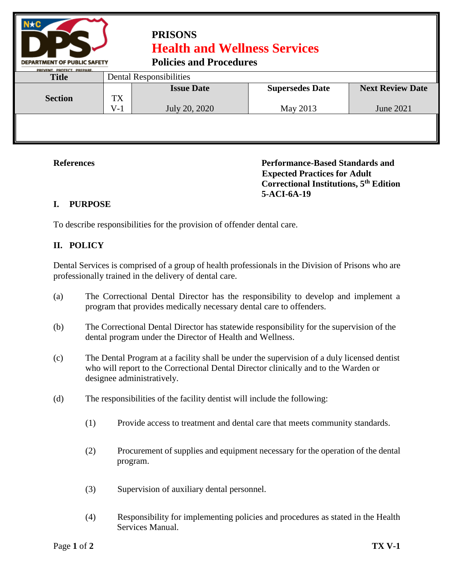

## **PRISONS Health and Wellness Services**

**Policies and Procedures** 

|                            |                         | T oncles and T rocean cs |                        |                         |  |  |
|----------------------------|-------------------------|--------------------------|------------------------|-------------------------|--|--|
| PREVENT, PROTECT, PREPARE. |                         |                          |                        |                         |  |  |
| <b>Title</b>               | Dental Responsibilities |                          |                        |                         |  |  |
|                            |                         | <b>Issue Date</b>        | <b>Supersedes Date</b> | <b>Next Review Date</b> |  |  |
| <b>Section</b>             | TX<br>$V-1$             | July 20, 2020            | May 2013               | June 2021               |  |  |
|                            |                         |                          |                        |                         |  |  |
|                            |                         |                          |                        |                         |  |  |

**References Performance-Based Standards and Expected Practices for Adult Correctional Institutions, 5th Edition 5-ACI-6A-19**

## **I. PURPOSE**

To describe responsibilities for the provision of offender dental care.

## **II. POLICY**

Dental Services is comprised of a group of health professionals in the Division of Prisons who are professionally trained in the delivery of dental care.

- (a) The Correctional Dental Director has the responsibility to develop and implement a program that provides medically necessary dental care to offenders.
- (b) The Correctional Dental Director has statewide responsibility for the supervision of the dental program under the Director of Health and Wellness.
- (c) The Dental Program at a facility shall be under the supervision of a duly licensed dentist who will report to the Correctional Dental Director clinically and to the Warden or designee administratively.
- (d) The responsibilities of the facility dentist will include the following:
	- (1) Provide access to treatment and dental care that meets community standards.
	- (2) Procurement of supplies and equipment necessary for the operation of the dental program.
	- (3) Supervision of auxiliary dental personnel.
	- (4) Responsibility for implementing policies and procedures as stated in the Health Services Manual.